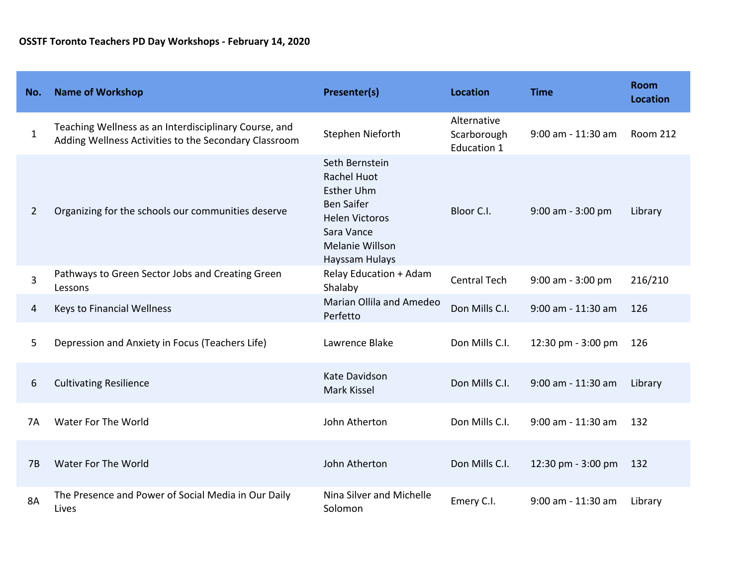| No.          | <b>Name of Workshop</b>                                                                                        | Presenter(s)                                                                                                                                               | <b>Location</b>                                  | <b>Time</b>          | <b>Room</b><br><b>Location</b> |
|--------------|----------------------------------------------------------------------------------------------------------------|------------------------------------------------------------------------------------------------------------------------------------------------------------|--------------------------------------------------|----------------------|--------------------------------|
| $\mathbf{1}$ | Teaching Wellness as an Interdisciplinary Course, and<br>Adding Wellness Activities to the Secondary Classroom | Stephen Nieforth                                                                                                                                           | Alternative<br>Scarborough<br><b>Education 1</b> | 9:00 am - 11:30 am   | <b>Room 212</b>                |
| 2            | Organizing for the schools our communities deserve                                                             | Seth Bernstein<br><b>Rachel Huot</b><br><b>Esther Uhm</b><br><b>Ben Saifer</b><br><b>Helen Victoros</b><br>Sara Vance<br>Melanie Willson<br>Hayssam Hulays | Bloor C.I.                                       | 9:00 am - 3:00 pm    | Library                        |
| 3            | Pathways to Green Sector Jobs and Creating Green<br>Lessons                                                    | <b>Relay Education + Adam</b><br>Shalaby                                                                                                                   | <b>Central Tech</b>                              | 9:00 am - 3:00 pm    | 216/210                        |
| 4            | Keys to Financial Wellness                                                                                     | Marian Ollila and Amedeo<br>Perfetto                                                                                                                       | Don Mills C.I.                                   | $9:00$ am - 11:30 am | 126                            |
| 5            | Depression and Anxiety in Focus (Teachers Life)                                                                | Lawrence Blake                                                                                                                                             | Don Mills C.I.                                   | 12:30 pm - 3:00 pm   | 126                            |
| 6            | <b>Cultivating Resilience</b>                                                                                  | Kate Davidson<br>Mark Kissel                                                                                                                               | Don Mills C.I.                                   | 9:00 am - 11:30 am   | Library                        |
| 7Α           | Water For The World                                                                                            | John Atherton                                                                                                                                              | Don Mills C.I.                                   | 9:00 am - 11:30 am   | 132                            |
| 7B           | Water For The World                                                                                            | John Atherton                                                                                                                                              | Don Mills C.I.                                   | 12:30 pm - 3:00 pm   | 132                            |
| 8A           | The Presence and Power of Social Media in Our Daily<br>Lives                                                   | Nina Silver and Michelle<br>Solomon                                                                                                                        | Emery C.I.                                       | 9:00 am - 11:30 am   | Library                        |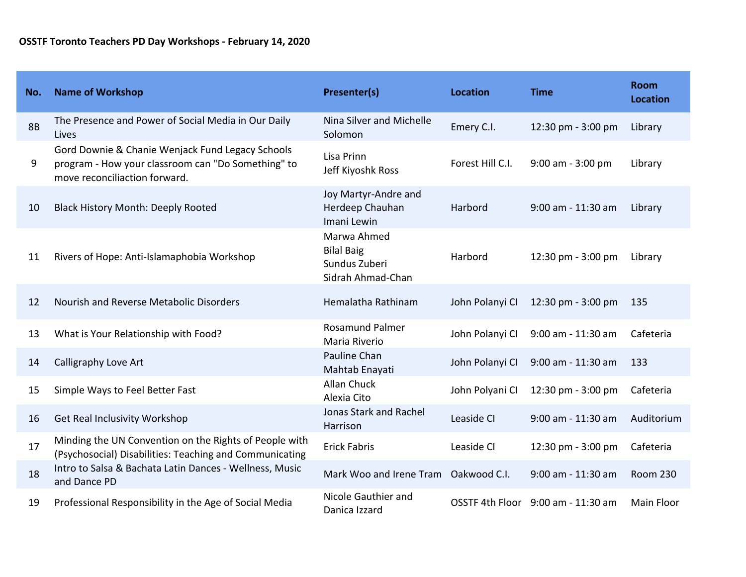| No.       | <b>Name of Workshop</b>                                                                                                                 | <b>Presenter(s)</b>                                                    | <b>Location</b>  | <b>Time</b>                        | <b>Room</b><br><b>Location</b> |
|-----------|-----------------------------------------------------------------------------------------------------------------------------------------|------------------------------------------------------------------------|------------------|------------------------------------|--------------------------------|
| <b>8B</b> | The Presence and Power of Social Media in Our Daily<br>Lives                                                                            | Nina Silver and Michelle<br>Solomon                                    | Emery C.I.       | 12:30 pm - 3:00 pm                 | Library                        |
| 9         | Gord Downie & Chanie Wenjack Fund Legacy Schools<br>program - How your classroom can "Do Something" to<br>move reconciliaction forward. | Lisa Prinn<br>Jeff Kiyoshk Ross                                        | Forest Hill C.I. | 9:00 am - 3:00 pm                  | Library                        |
| 10        | <b>Black History Month: Deeply Rooted</b>                                                                                               | Joy Martyr-Andre and<br>Herdeep Chauhan<br>Imani Lewin                 | Harbord          | 9:00 am - 11:30 am                 | Library                        |
| 11        | Rivers of Hope: Anti-Islamaphobia Workshop                                                                                              | Marwa Ahmed<br><b>Bilal Baig</b><br>Sundus Zuberi<br>Sidrah Ahmad-Chan | Harbord          | 12:30 pm - 3:00 pm                 | Library                        |
| 12        | Nourish and Reverse Metabolic Disorders                                                                                                 | Hemalatha Rathinam                                                     | John Polanyi CI  | 12:30 pm - 3:00 pm                 | 135                            |
| 13        | What is Your Relationship with Food?                                                                                                    | <b>Rosamund Palmer</b><br>Maria Riverio                                | John Polanyi CI  | 9:00 am - 11:30 am                 | Cafeteria                      |
| 14        | Calligraphy Love Art                                                                                                                    | Pauline Chan<br>Mahtab Enayati                                         | John Polanyi CI  | $9:00$ am - $11:30$ am             | 133                            |
| 15        | Simple Ways to Feel Better Fast                                                                                                         | <b>Allan Chuck</b><br>Alexia Cito                                      | John Polyani CI  | 12:30 pm - 3:00 pm                 | Cafeteria                      |
| 16        | Get Real Inclusivity Workshop                                                                                                           | <b>Jonas Stark and Rachel</b><br>Harrison                              | Leaside CI       | 9:00 am - 11:30 am                 | Auditorium                     |
| 17        | Minding the UN Convention on the Rights of People with<br>(Psychosocial) Disabilities: Teaching and Communicating                       | <b>Erick Fabris</b>                                                    | Leaside CI       | 12:30 pm - 3:00 pm                 | Cafeteria                      |
| 18        | Intro to Salsa & Bachata Latin Dances - Wellness, Music<br>and Dance PD                                                                 | Mark Woo and Irene Tram Oakwood C.I.                                   |                  | 9:00 am - 11:30 am                 | <b>Room 230</b>                |
| 19        | Professional Responsibility in the Age of Social Media                                                                                  | Nicole Gauthier and<br>Danica Izzard                                   |                  | OSSTF 4th Floor 9:00 am - 11:30 am | <b>Main Floor</b>              |